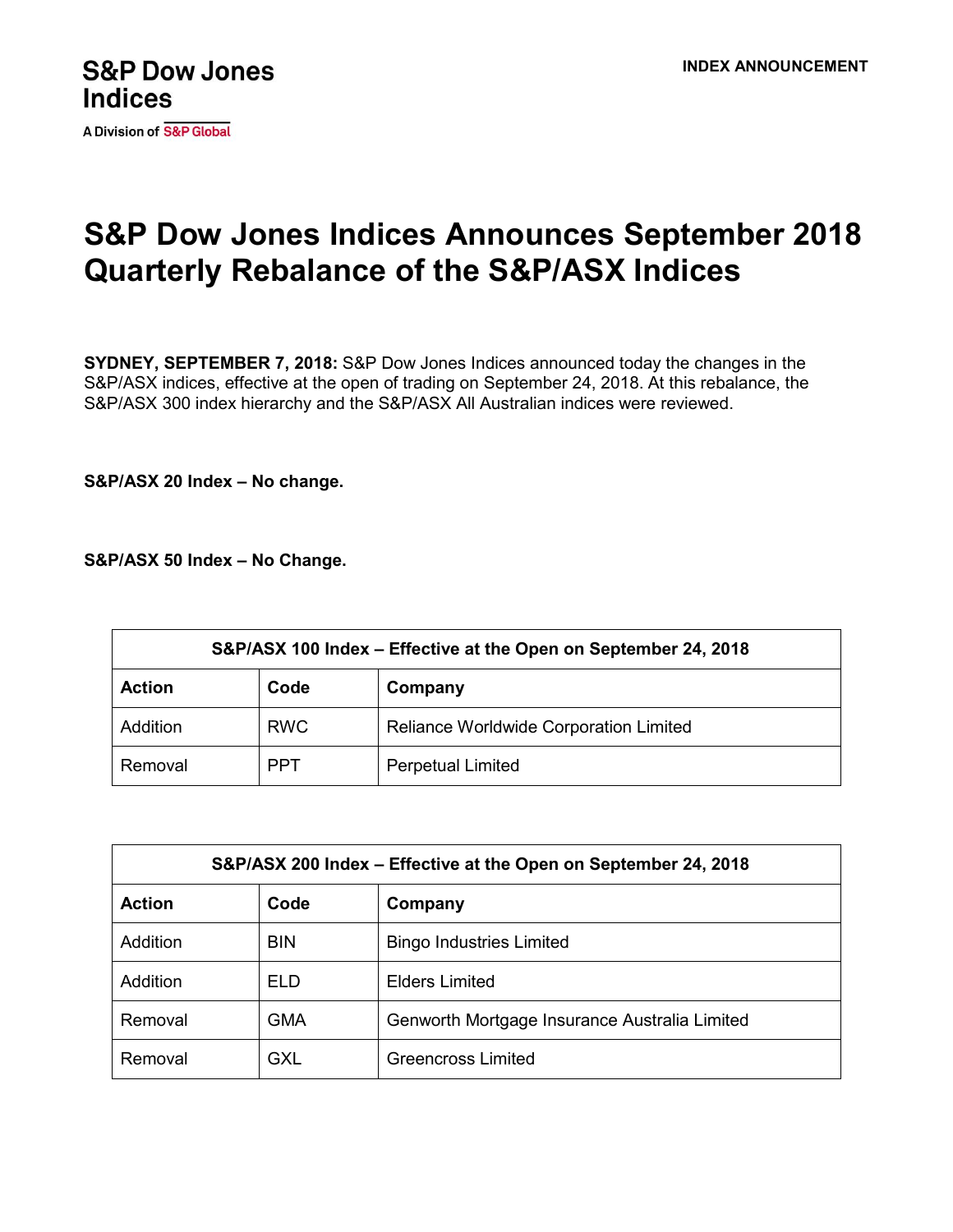

A Division of S&P Global

## **S&P Dow Jones Indices Announces September 2018 Quarterly Rebalance of the S&P/ASX Indices**

**SYDNEY, SEPTEMBER 7, 2018:** S&P Dow Jones Indices announced today the changes in the S&P/ASX indices, effective at the open of trading on September 24, 2018. At this rebalance, the S&P/ASX 300 index hierarchy and the S&P/ASX All Australian indices were reviewed.

**S&P/ASX 20 Index – No change.**

**S&P/ASX 50 Index – No Change.**

| S&P/ASX 100 Index – Effective at the Open on September 24, 2018 |            |                                        |  |  |
|-----------------------------------------------------------------|------------|----------------------------------------|--|--|
| <b>Action</b>                                                   | Code       | Company                                |  |  |
| Addition                                                        | <b>RWC</b> | Reliance Worldwide Corporation Limited |  |  |
| Removal                                                         | <b>PPT</b> | <b>Perpetual Limited</b>               |  |  |

| S&P/ASX 200 Index – Effective at the Open on September 24, 2018 |            |                                               |  |  |
|-----------------------------------------------------------------|------------|-----------------------------------------------|--|--|
| <b>Action</b>                                                   | Code       | Company                                       |  |  |
| Addition                                                        | <b>BIN</b> | <b>Bingo Industries Limited</b>               |  |  |
| Addition                                                        | ELD.       | <b>Elders Limited</b>                         |  |  |
| Removal                                                         | <b>GMA</b> | Genworth Mortgage Insurance Australia Limited |  |  |
| Removal                                                         | <b>GXL</b> | Greencross Limited                            |  |  |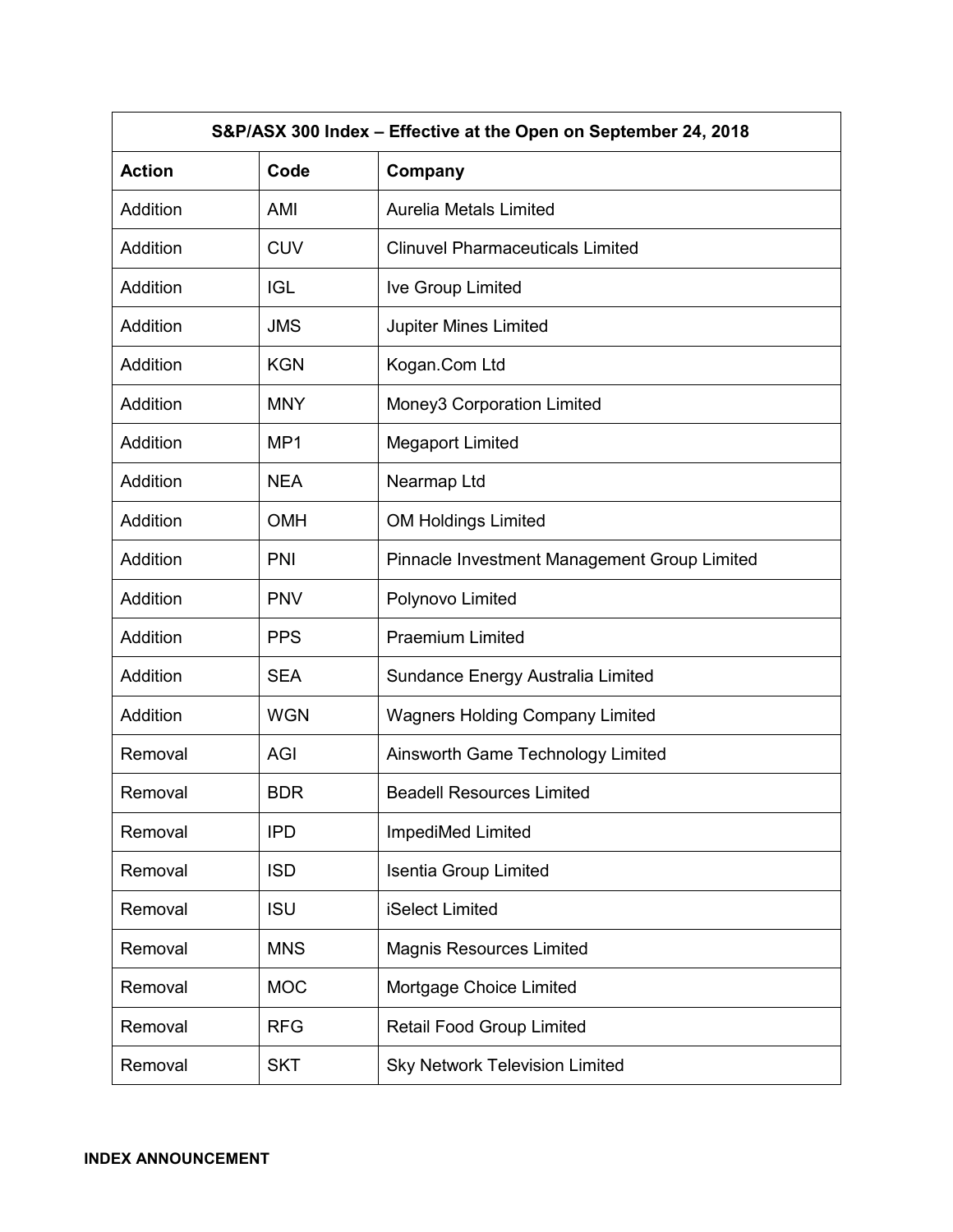| S&P/ASX 300 Index - Effective at the Open on September 24, 2018 |                 |                                              |  |  |
|-----------------------------------------------------------------|-----------------|----------------------------------------------|--|--|
| <b>Action</b>                                                   | Code            | Company                                      |  |  |
| Addition                                                        | AMI             | <b>Aurelia Metals Limited</b>                |  |  |
| Addition                                                        | <b>CUV</b>      | <b>Clinuvel Pharmaceuticals Limited</b>      |  |  |
| Addition                                                        | <b>IGL</b>      | Ive Group Limited                            |  |  |
| Addition                                                        | <b>JMS</b>      | <b>Jupiter Mines Limited</b>                 |  |  |
| Addition                                                        | <b>KGN</b>      | Kogan.Com Ltd                                |  |  |
| Addition                                                        | <b>MNY</b>      | Money3 Corporation Limited                   |  |  |
| Addition                                                        | MP <sub>1</sub> | <b>Megaport Limited</b>                      |  |  |
| Addition                                                        | <b>NEA</b>      | Nearmap Ltd                                  |  |  |
| Addition                                                        | <b>OMH</b>      | <b>OM Holdings Limited</b>                   |  |  |
| Addition                                                        | PNI             | Pinnacle Investment Management Group Limited |  |  |
| Addition                                                        | <b>PNV</b>      | Polynovo Limited                             |  |  |
| Addition                                                        | <b>PPS</b>      | <b>Praemium Limited</b>                      |  |  |
| Addition                                                        | <b>SEA</b>      | Sundance Energy Australia Limited            |  |  |
| Addition                                                        | <b>WGN</b>      | <b>Wagners Holding Company Limited</b>       |  |  |
| Removal                                                         | AGI             | Ainsworth Game Technology Limited            |  |  |
| Removal                                                         | <b>BDR</b>      | <b>Beadell Resources Limited</b>             |  |  |
| Removal                                                         | <b>IPD</b>      | ImpediMed Limited                            |  |  |
| Removal                                                         | <b>ISD</b>      | Isentia Group Limited                        |  |  |
| Removal                                                         | <b>ISU</b>      | iSelect Limited                              |  |  |
| Removal                                                         | <b>MNS</b>      | <b>Magnis Resources Limited</b>              |  |  |
| Removal                                                         | <b>MOC</b>      | Mortgage Choice Limited                      |  |  |
| Removal                                                         | <b>RFG</b>      | Retail Food Group Limited                    |  |  |
| Removal                                                         | <b>SKT</b>      | <b>Sky Network Television Limited</b>        |  |  |